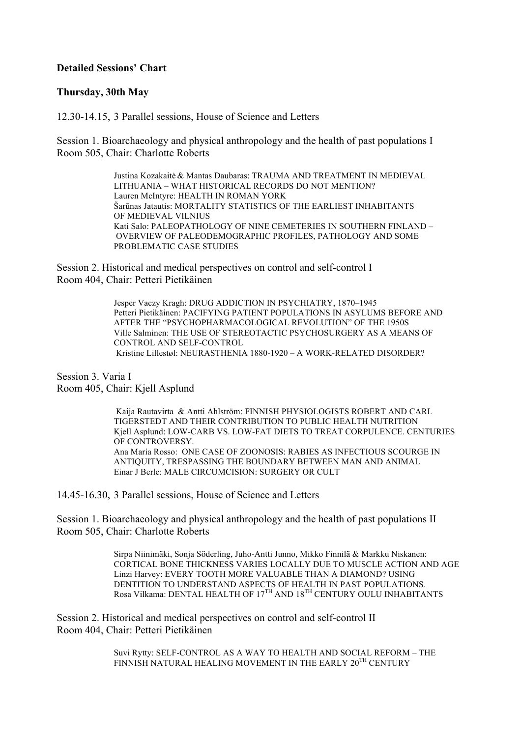## **Detailed Sessions' Chart**

## **Thursday, 30th May**

12.30-14.15, 3 Parallel sessions, House of Science and Letters

Session 1. Bioarchaeology and physical anthropology and the health of past populations I Room 505, Chair: Charlotte Roberts

> Justina Kozakaitė & Mantas Daubaras: TRAUMA AND TREATMENT IN MEDIEVAL LITHUANIA – WHAT HISTORICAL RECORDS DO NOT MENTION? Lauren McIntyre: HEALTH IN ROMAN YORK Šarūnas Jatautis: MORTALITY STATISTICS OF THE EARLIEST INHABITANTS OF MEDIEVAL VILNIUS Kati Salo: PALEOPATHOLOGY OF NINE CEMETERIES IN SOUTHERN FINLAND – OVERVIEW OF PALEODEMOGRAPHIC PROFILES, PATHOLOGY AND SOME PROBLEMATIC CASE STUDIES

Session 2. Historical and medical perspectives on control and self-control I Room 404, Chair: Petteri Pietikäinen

> Jesper Vaczy Kragh: DRUG ADDICTION IN PSYCHIATRY, 1870–1945 Petteri Pietikäinen: PACIFYING PATIENT POPULATIONS IN ASYLUMS BEFORE AND AFTER THE "PSYCHOPHARMACOLOGICAL REVOLUTION" OF THE 1950S Ville Salminen: THE USE OF STEREOTACTIC PSYCHOSURGERY AS A MEANS OF CONTROL AND SELF-CONTROL Kristine Lillestøl: NEURASTHENIA 1880-1920 – A WORK-RELATED DISORDER?

Session 3. Varia I Room 405, Chair: Kjell Asplund

> Kaija Rautavirta & Antti Ahlström: FINNISH PHYSIOLOGISTS ROBERT AND CARL TIGERSTEDT AND THEIR CONTRIBUTION TO PUBLIC HEALTH NUTRITION Kjell Asplund: LOW-CARB VS. LOW-FAT DIETS TO TREAT CORPULENCE. CENTURIES OF CONTROVERSY. Ana María Rosso: ONE CASE OF ZOONOSIS: RABIES AS INFECTIOUS SCOURGE IN ANTIQUITY, TRESPASSING THE BOUNDARY BETWEEN MAN AND ANIMAL Einar J Berle: MALE CIRCUMCISION: SURGERY OR CULT

14.45-16.30, 3 Parallel sessions, House of Science and Letters

Session 1. Bioarchaeology and physical anthropology and the health of past populations II Room 505, Chair: Charlotte Roberts

> Sirpa Niinimäki, Sonja Söderling, Juho-Antti Junno, Mikko Finnilä & Markku Niskanen: CORTICAL BONE THICKNESS VARIES LOCALLY DUE TO MUSCLE ACTION AND AGE Linzi Harvey: EVERY TOOTH MORE VALUABLE THAN A DIAMOND? USING DENTITION TO UNDERSTAND ASPECTS OF HEALTH IN PAST POPULATIONS. Rosa Vilkama: DENTAL HEALTH OF 17<sup>TH</sup> AND 18<sup>TH</sup> CENTURY OULU INHABITANTS

Session 2. Historical and medical perspectives on control and self-control II Room 404, Chair: Petteri Pietikäinen

> Suvi Rytty: SELF-CONTROL AS A WAY TO HEALTH AND SOCIAL REFORM – THE FINNISH NATURAL HEALING MOVEMENT IN THE EARLY  $20^\mathrm{TH}$  CENTURY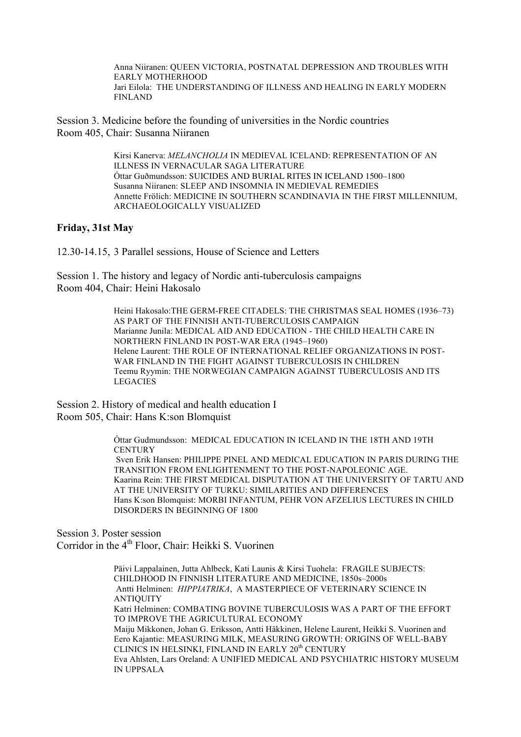Anna Niiranen: QUEEN VICTORIA, POSTNATAL DEPRESSION AND TROUBLES WITH EARLY MOTHERHOOD Jari Eilola: THE UNDERSTANDING OF ILLNESS AND HEALING IN EARLY MODERN FINLAND

Session 3. Medicine before the founding of universities in the Nordic countries Room 405, Chair: Susanna Niiranen

> Kirsi Kanerva: *MELANCHOLIA* IN MEDIEVAL ICELAND: REPRESENTATION OF AN ILLNESS IN VERNACULAR SAGA LITERATURE Óttar Guðmundsson: SUICIDES AND BURIAL RITES IN ICELAND 1500–1800 Susanna Niiranen: SLEEP AND INSOMNIA IN MEDIEVAL REMEDIES Annette Frölich: MEDICINE IN SOUTHERN SCANDINAVIA IN THE FIRST MILLENNIUM, ARCHAEOLOGICALLY VISUALIZED

## **Friday, 31st May**

12.30-14.15, 3 Parallel sessions, House of Science and Letters

Session 1. The history and legacy of Nordic anti-tuberculosis campaigns Room 404, Chair: Heini Hakosalo

> Heini Hakosalo:THE GERM-FREE CITADELS: THE CHRISTMAS SEAL HOMES (1936–73) AS PART OF THE FINNISH ANTI-TUBERCULOSIS CAMPAIGN Marianne Junila: MEDICAL AID AND EDUCATION - THE CHILD HEALTH CARE IN NORTHERN FINLAND IN POST-WAR ERA (1945–1960) Helene Laurent: THE ROLE OF INTERNATIONAL RELIEF ORGANIZATIONS IN POST-WAR FINLAND IN THE FIGHT AGAINST TUBERCULOSIS IN CHILDREN Teemu Ryymin: THE NORWEGIAN CAMPAIGN AGAINST TUBERCULOSIS AND ITS LEGACIES

Session 2. History of medical and health education I Room 505, Chair: Hans K:son Blomquist

> Óttar Gudmundsson: MEDICAL EDUCATION IN ICELAND IN THE 18TH AND 19TH **CENTURY** Sven Erik Hansen: PHILIPPE PINEL AND MEDICAL EDUCATION IN PARIS DURING THE TRANSITION FROM ENLIGHTENMENT TO THE POST-NAPOLEONIC AGE. Kaarina Rein: THE FIRST MEDICAL DISPUTATION AT THE UNIVERSITY OF TARTU AND AT THE UNIVERSITY OF TURKU: SIMILARITIES AND DIFFERENCES Hans K:son Blomquist: MORBI INFANTUM, PEHR VON AFZELIUS LECTURES IN CHILD DISORDERS IN BEGINNING OF 1800

Session 3. Poster session Corridor in the 4<sup>th</sup> Floor, Chair: Heikki S. Vuorinen

> Päivi Lappalainen, Jutta Ahlbeck, Kati Launis & Kirsi Tuohela: FRAGILE SUBJECTS: CHILDHOOD IN FINNISH LITERATURE AND MEDICINE, 1850s–2000s Antti Helminen: *HIPPIATRIKA*, A MASTERPIECE OF VETERINARY SCIENCE IN ANTIQUITY Katri Helminen: COMBATING BOVINE TUBERCULOSIS WAS A PART OF THE EFFORT TO IMPROVE THE AGRICULTURAL ECONOMY Maiju Mikkonen, Johan G. Eriksson, Antti Häkkinen, Helene Laurent, Heikki S. Vuorinen and Eero Kajantie: MEASURING MILK, MEASURING GROWTH: ORIGINS OF WELL-BABY CLINICS IN HELSINKI, FINLAND IN EARLY 20<sup>th</sup> CENTURY Eva Ahlsten, Lars Oreland: A UNIFIED MEDICAL AND PSYCHIATRIC HISTORY MUSEUM IN UPPSALA